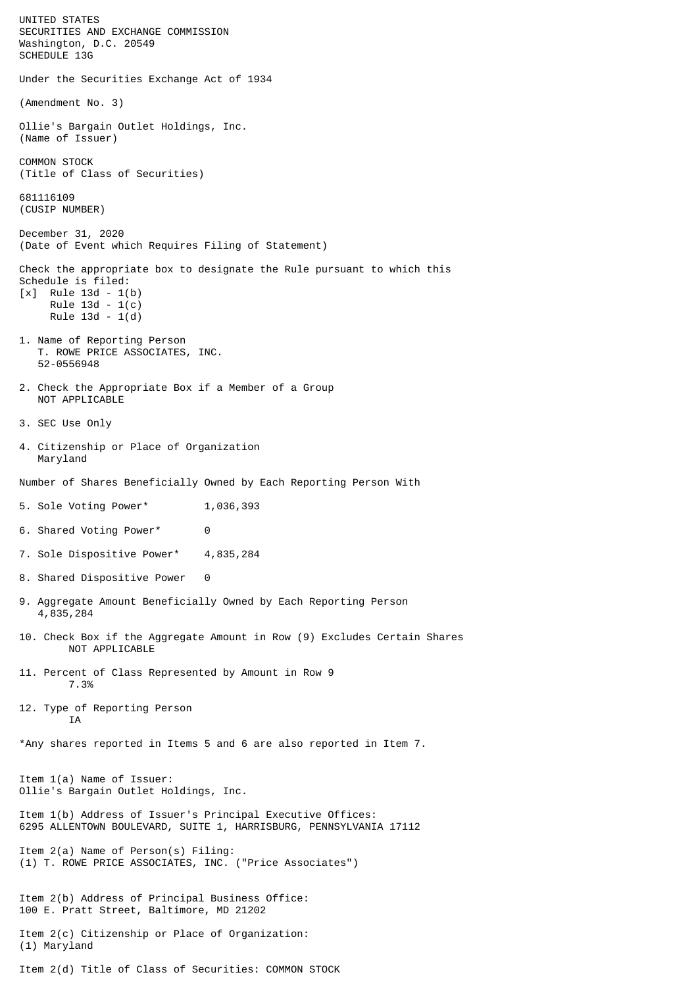UNITED STATES SECURITIES AND EXCHANGE COMMISSION Washington, D.C. 20549 SCHEDULE 13G Under the Securities Exchange Act of 1934 (Amendment No. 3) Ollie's Bargain Outlet Holdings, Inc. (Name of Issuer) COMMON STOCK (Title of Class of Securities) 681116109 (CUSIP NUMBER) December 31, 2020 (Date of Event which Requires Filing of Statement) Check the appropriate box to designate the Rule pursuant to which this Schedule is filed: [x] Rule 13d - 1(b) Rule 13d - 1(c) Rule 13d - 1(d) 1. Name of Reporting Person T. ROWE PRICE ASSOCIATES, INC. 52-0556948 2. Check the Appropriate Box if a Member of a Group NOT APPLICABLE 3. SEC Use Only 4. Citizenship or Place of Organization Maryland Number of Shares Beneficially Owned by Each Reporting Person With 5. Sole Voting Power\* 1,036,393 6. Shared Voting Power\* 0 7. Sole Dispositive Power\* 4,835,284 8. Shared Dispositive Power 0 9. Aggregate Amount Beneficially Owned by Each Reporting Person 4,835,284 10. Check Box if the Aggregate Amount in Row (9) Excludes Certain Shares NOT APPLICABLE 11. Percent of Class Represented by Amount in Row 9 7.3% 12. Type of Reporting Person **TA** \*Any shares reported in Items 5 and 6 are also reported in Item 7. Item 1(a) Name of Issuer: Ollie's Bargain Outlet Holdings, Inc. Item 1(b) Address of Issuer's Principal Executive Offices: 6295 ALLENTOWN BOULEVARD, SUITE 1, HARRISBURG, PENNSYLVANIA 17112 Item 2(a) Name of Person(s) Filing: (1) T. ROWE PRICE ASSOCIATES, INC. ("Price Associates") Item 2(b) Address of Principal Business Office: 100 E. Pratt Street, Baltimore, MD 21202 Item 2(c) Citizenship or Place of Organization: (1) Maryland Item 2(d) Title of Class of Securities: COMMON STOCK